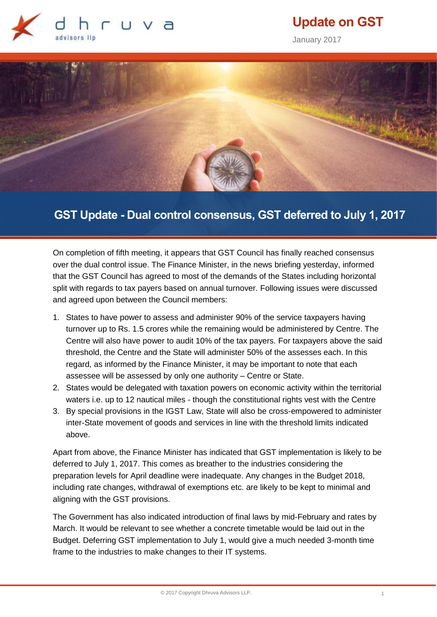

# **Update on GST**

January 2017



## **GST Update - Dual control consensus, GST deferred to July 1, 2017**

On completion of fifth meeting, it appears that GST Council has finally reached consensus over the dual control issue. The Finance Minister, in the news briefing yesterday, informed that the GST Council has agreed to most of the demands of the States including horizontal split with regards to tax payers based on annual turnover. Following issues were discussed and agreed upon between the Council members:

- 1. States to have power to assess and administer 90% of the service taxpayers having turnover up to Rs. 1.5 crores while the remaining would be administered by Centre. The Centre will also have power to audit 10% of the tax payers. For taxpayers above the said threshold, the Centre and the State will administer 50% of the assesses each. In this regard, as informed by the Finance Minister, it may be important to note that each assessee will be assessed by only one authority – Centre or State.
- 2. States would be delegated with taxation powers on economic activity within the territorial waters i.e. up to 12 nautical miles - though the constitutional rights vest with the Centre
- 3. By special provisions in the IGST Law, State will also be cross-empowered to administer inter-State movement of goods and services in line with the threshold limits indicated above.

Apart from above, the Finance Minister has indicated that GST implementation is likely to be deferred to July 1, 2017. This comes as breather to the industries considering the preparation levels for April deadline were inadequate. Any changes in the Budget 2018, including rate changes, withdrawal of exemptions etc. are likely to be kept to minimal and aligning with the GST provisions.

The Government has also indicated introduction of final laws by mid-February and rates by March. It would be relevant to see whether a concrete timetable would be laid out in the Budget. Deferring GST implementation to July 1, would give a much needed 3-month time frame to the industries to make changes to their IT systems.